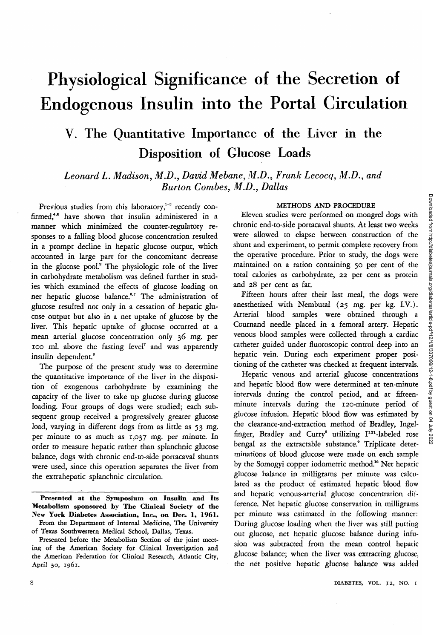# Physiological Significance of the Secretion of Endogenous Insulin into the Portal Circulation

## V. The Quantitative Importance of the Liver in the Disposition of Glucose Loads

### *Leonard L. Madison, M.D., David Mebane, M.D., Frank Lecocq, M.D., and Burton Combes, M.D., Dallas*

Previous studies from this laboratory,<sup>1-3</sup> recently confirmed,<sup>4,5</sup> have shown that insulin administered in a manner which minimized the counter-regulatory responses to a falling blood glucose concentration resulted in a prompt decline in hepatic glucose output, which accounted in large part for the concomitant decrease in the glucose pool.<sup>2</sup> The physiologic role of the liver in carbohydrate metabolism was defined further in studies which examined the effects of glucose loading on net hepatic glucose balance.<sup>8,7</sup> The administration of glucose resulted not only in a cessation of hepatic glucose output but also in a net uptake of glucose by the liver. This hepatic uptake of glucose occurred at a mean arterial glucose concentration only 36 mg. per 100 *ml.* above the fasting level7 and was apparently insulin dependent.<sup>6</sup>

The purpose of the present study was to determine the quantitative importance of the liver in the disposition of exogenous carbohydrate by examining the capacity of the liver to take up glucose during glucose loading. Four groups of dogs were studied; each subsequent group received a progressively greater glucose load, varying in different dogs from as *little* as 53 mg. per minute to as much as 1,037 mg. per minute. In order to measure hepatic rather than splanchnic glucose balance, dogs with chronic end-to-side portacaval shunts were used, since this operation separates the liver from the extrahepatic splanchnic circulation.

#### METHODS AND PROCEDURE

Eleven studies were performed on mongrel dogs with chronic end-to-side portacaval shunts. At least two weeks were allowed to elapse between construction of the shunt and experiment, to permit complete recovery from the operative procedure. Prior to study, the dogs were maintained on a ration containing 50 per cent of the total calories as carbohydrate, 22 per cent as protein and 28 per cent as fat.

Fifteen hours after their last meal, the dogs were anesthetized with Nembutal (25 mg. per kg. I.V.). Arterial blood samples were obtained through a Cournand needle placed in a femoral artery. Hepatic venous blood samples were collected through a cardiac catheter guided under fluoroscopic control deep into an hepatic vein. During each experiment proper positioning of the catheter was checked at frequent intervals.

Hepatic venous and arterial glucose concentrations and hepatic blood flow were determined at ten-minute intervals during the control period, and at fifteenminute intervals during the 120-minute period of glucose infusion. Hepatic blood flow was estimated by the clearance-and-extraction method of Bradley, Ingelfinger, Bradley and Curry<sup>8</sup> utilizing  $I^{131}$ -labeled rose bengal as the extractable substance.<sup>8</sup> Triplicate determinations of blood glucose were made on each sample by the Somogyi copper iodometric method.<sup>10</sup> Net hepatic glucose balance in milligrams per minute was calculated as the product of estimated hepatic blood flow and hepatic venous-arterial glucose concentration difference. Net hepatic glucose conservation in milligrams per minute was estimated in the following manner: During glucose loading when the liver was still putting out glucose, net hepatic glucose balance during infusion was subtracted from the mean control hepatic glucose balance; when the liver was extracting glucose, the net positive hepatic glucose balance was added

**Presented at the Symposium on Insulin and Its Metabolism sponsored by The Clinical Society of the New York Diabetes Association, Inc., on Dec. 1, 1961.**

From the Department of Internal Medicine, The University of Texas Southwestern Medical School, Dallas, Texas.

Presented before the Metabolism Section of the joint meeting of the American Society for Clinical Investigation and the American Federation for Clinical Research, Atlantic City, April 30, 1961.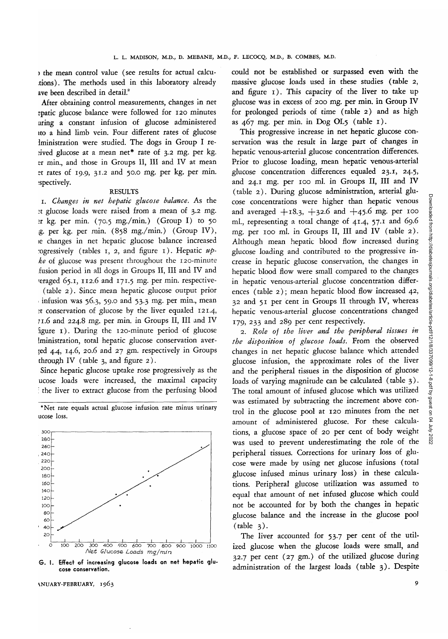) the mean control value (see results for actual calculations). The methods used in this laboratory already ave been described in detail.<sup>2</sup>

After obtaining control measurements, changes in net epatic glucose balance were followed for 120 minutes during a constant infusion of glucose administered into a hind limb vein. Four different rates of glucose lministration were studied. The dogs in Group I reeived glucose at a mean net\* rate of  $3.2$  mg. per kg. per min., and those in Groups II, III and IV at mean net rates of 19.9, 31.2 and 50.0 mg. per kg. per min. :spectively.

#### **RESULTS**

1. *Changes in net hepatic glucose balance.* As the et glucose loads were raised from a mean of 3.2 mg. er kg. per min. (70.5 mg./min.) (Group I) to 50 mg. per kg. per min. (858 mg./min.) (Group IV), the changes in net hepatic glucose balance increased progressively (tables 1, 2, and figure 1). Hepatic *upke* of glucose was present throughout the 120-minute fusion period in all dogs in Groups II, III and IV and reraged 65.1, 112.6 and 171.5 mg. per min. respective-(table 2). Since mean hepatic glucose output prior infusion was  $56.3$ ,  $59.0$  and  $53.3$  mg. per min., mean et conservation of glucose by the liver equaled 121.4, 171.6 and 224.8 mg. per min. in Groups II, III and IV figure  $1$ ). During the 120-minute period of glucose lministration, total hepatic glucose conservation aver- $\text{red } 4.4$ , 14.6, 20.6 and 27 gm. respectively in Groups through IV (table 3, and figure  $2$ ).

Since hepatic glucose uptake rose progressively as the ucose loads were increased, the maximal capacity the liver to extract glucose from the perfusing blood

\*Net rate equals actual glucose infusion rate minus urinary glucose loss.



**Effect of increasing glucose loads on net hepatic glu-** $G. 1.$ **cose conservation.**

could not be established or surpassed even with the massive glucose loads used in these studies (table 2, and figure  $1$ ). This capacity of the liver to take up glucose was in excess of 200 mg. per min. in Group IV for prolonged periods of time (table 2) and as high as  $467$  mg. per min. in Dog OL5 (table 1).

This progressive increase in net hepatic glucose conservation was the result in large part of changes in hepatic venous-arterial glucose concentration differences. Prior to glucose loading, mean hepatic venous-arterial glucose concentration differences equaled 23.1, 24.5, and 24.1 mg. per 100 ml. in Groups II, III and IV (table 2). During glucose administration, arterial glucose concentrations were higher than hepatic venous and averaged  $+18.3, +32.6$  and  $+45.6$  mg. per 100 ml., representing a total change of 41.4, 57.1 and 69.6 mg. per 100 ml. in Groups II, III and IV (table 2). Although mean hepatic blood flow increased during glucose loading and contributed to the progressive increase in hepatic glucose conservation, the changes in hepatic blood flow were small compared to the changes in hepatic venous-arterial glucose concentration differences (table 2); mean hepatic blood flow increased 42, 32 and 51 per cent in Groups II through IV, whereas hepatic venous-arterial glucose concentrations changed 179, 233 and 289 per cent respectively.

2. *Role of the liver and the peripheral tissues in the disposition of glucose loads.* From the observed changes in net hepatic glucose balance which attended glucose infusion, the approximate roles of the liver and the peripheral tissues in the disposition of glucose loads of varying magnitude can be calculated (table 3). The total amount of infused glucose which was utilized was estimated by subtracting the increment above control in the glucose pool at 120 minutes from the net amount of administered glucose. For these calculations, a glucose space of 20 per cent of body weight was used to prevent underestimating the role of the peripheral tissues. Corrections for urinary loss of glucose were made by using net glucose infusions (total glucose infused minus urinary loss) in these calculations. Peripheral glucose utilization was assumed to equal that amount of net infused glucose which could not be accounted for by both the changes in hepatic glucose balance and the increase in the glucose pool  $(table 3).$ 

The liver accounted for 53.7 per cent of the utilized glucose when the glucose loads were small, and 32.7 per cent (27 gm.) of the utilized glucose during administration of the largest loads (table 3). Despite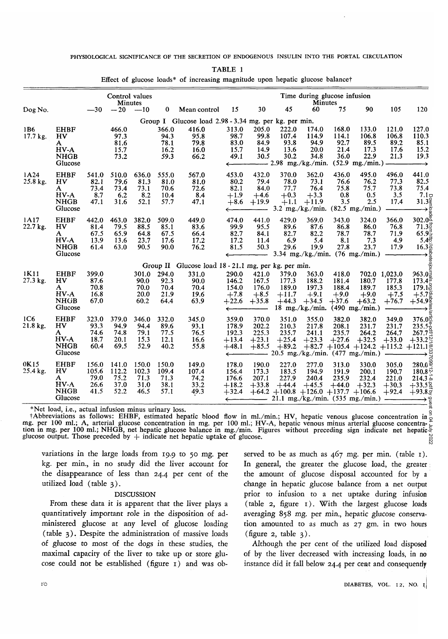PHYSIOLOGICAL SIGNIFICANCE OF THE SECRETION OF ENDOGENOUS INSULIN INTO THE PORTAL CIRCULATION

| R<br>۱. |  |
|---------|--|
|---------|--|

|                               | Control values<br>Minutes                                                                                                                                                                                                                                                                                                                                                                                                                                                                                                                                                                            |                                        |                                        |                                        |                                        |                                                       | Time during glucose infusion<br>Minutes                                   |                                               |                                                                                               |                                              |                                                               |                                                                                   |                                                      |                                                                                                |
|-------------------------------|------------------------------------------------------------------------------------------------------------------------------------------------------------------------------------------------------------------------------------------------------------------------------------------------------------------------------------------------------------------------------------------------------------------------------------------------------------------------------------------------------------------------------------------------------------------------------------------------------|----------------------------------------|----------------------------------------|----------------------------------------|----------------------------------------|-------------------------------------------------------|---------------------------------------------------------------------------|-----------------------------------------------|-----------------------------------------------------------------------------------------------|----------------------------------------------|---------------------------------------------------------------|-----------------------------------------------------------------------------------|------------------------------------------------------|------------------------------------------------------------------------------------------------|
| Dog No.                       |                                                                                                                                                                                                                                                                                                                                                                                                                                                                                                                                                                                                      | $-30$                                  | $-20$                                  | $-10$                                  | 0                                      | Mean control                                          | 15                                                                        | 30                                            | 45                                                                                            | 60                                           | 75                                                            | 90                                                                                | 105                                                  | 120                                                                                            |
|                               |                                                                                                                                                                                                                                                                                                                                                                                                                                                                                                                                                                                                      |                                        |                                        |                                        |                                        | Group I Glucose load 2.98 - 3.34 mg. per kg. per min. |                                                                           |                                               |                                                                                               |                                              |                                                               |                                                                                   |                                                      |                                                                                                |
| 1B <sub>6</sub><br>$17.7$ kg. | <b>EHBF</b><br>HV<br>A<br>$HV-A$<br><b>NHGB</b><br>Glucose                                                                                                                                                                                                                                                                                                                                                                                                                                                                                                                                           |                                        | 466.0<br>97.3<br>81.6<br>15.7<br>73.2  |                                        | 366.0<br>94.3<br>78.1<br>16.2<br>59.3  | 416.0<br>95.8<br>79.8<br>16.0<br>66.2                 | 313.0<br>98.7<br>83.0<br>15.7<br>49.1                                     | 205.0<br>99.8<br>84.9<br>14.9<br>30.5         | 222.0<br>107.4<br>93.8<br>13.6<br>30.2<br>$2.98$ mg./kg./min.                                 | 174.0<br>114.9<br>94.9<br>20.0<br>34.8       | 168.0<br>114.1<br>92.7<br>21.4<br>36.0                        | 133.0<br>106.8<br>89.5<br>17.3<br>22.9<br>$(52.9 \, \text{mg./min.})$             | 121.0<br>106.8<br>89.2<br>17.6<br>21.3               | 127.0<br>110.3<br>85.1<br>15.2<br>19.3<br>$\rightarrow$                                        |
| 1A24<br>$25.8 \text{ kg}$ .   | <b>EHBF</b><br>HV<br>A<br>HV-A<br><b>NHGB</b><br>Glucose                                                                                                                                                                                                                                                                                                                                                                                                                                                                                                                                             | 541.0<br>82.1<br>73.4<br>8.7<br>47.1   | 510.0<br>79.6<br>73.4<br>6.2<br>31.6   | 636.0<br>81.3<br>73.1<br>8.2<br>52.1   | 555.0<br>81.0<br>70.6<br>10.4<br>57.7  | 567.0<br>81.0<br>72.6<br>8.4<br>47.1                  | 453.0<br>80.2<br>82.1<br>$+1.9$<br>$+8.6$                                 | 432.0<br>79.4<br>84.0<br>$+4.6$<br>$+19.9$    | 370.0<br>78.0<br>77.7<br>$+0.3$<br>$+1.1$                                                     | 362.0<br>73.1<br>76.4<br>$+3.3$<br>$+11.9$   | 436.0<br>76.6<br>75.8<br>0.8<br>3.5                           | 495.0<br>76.2<br>75.7<br>0.5<br>2.5<br>3.2 mg./kg./min. $(82.5 \text{ mg./min.})$ | 496.0<br>77.3<br>73.8<br>3.5<br>17.4                 | 441.0<br>82.5<br>75.4<br>$7.1$<br>31.3<br>→○                                                   |
| 1A17<br>22.7 kg.              | <b>EHBF</b><br>H <sub>V</sub><br>A<br>$HV-A$<br><b>NHGB</b><br>Glucose                                                                                                                                                                                                                                                                                                                                                                                                                                                                                                                               | 442.0<br>81.4<br>67.5<br>13.9<br>61.4  | 463.0<br>79.5<br>65.9<br>13.6<br>63.0  | 382.0<br>88.5<br>64.8<br>23.7<br>90.5  | 509.0<br>85.1<br>67.5<br>17.6<br>90.0  | 449,0<br>83.6<br>66.4<br>17.2<br>76.2                 | 474.0<br>99.9<br>82.7<br>17.2<br>81.5                                     | 441.0<br>95.5<br>84.1<br>11.4<br>50.3         | 429.0<br>89.6<br>82.7<br>6.9<br>29.6                                                          | 369.0<br>87.6<br>82.2<br>5.4<br>19.9         | 343.0<br>86.8<br>78.7<br>8.1<br>27.8                          | 324.0<br>86.0<br>78.7<br>7.3<br>23.7<br>3.34 mg./kg./min. $(76 \text{ mg./min.})$ | 366.0<br>76.8<br>71.9<br>4.9<br>17.9                 | 302.0 <sup>8</sup><br>71.3₫<br>$65.9\overline{5}$<br>5.45<br>$16.3\frac{5}{9}$<br>→ ¤          |
|                               |                                                                                                                                                                                                                                                                                                                                                                                                                                                                                                                                                                                                      |                                        |                                        |                                        |                                        | Group II Glucose load 18 - 21.1 mg, per kg. per min.  |                                                                           |                                               |                                                                                               |                                              |                                                               |                                                                                   |                                                      |                                                                                                |
| 1K11<br>27.3 kg.              | <b>EHBF</b><br>HV<br>A<br>$HV-A$<br><b>NHGB</b><br>Glucose                                                                                                                                                                                                                                                                                                                                                                                                                                                                                                                                           | 399.0<br>87.6<br>70.8<br>16.8<br>67.0  |                                        | 301.0<br>90.0<br>70.0<br>20.0<br>60.2  | 294.0<br>92.3<br>70.4<br>21.9<br>64.4  | 331.0<br>90.0<br>70.4<br>19.6<br>63.9                 | 290.0<br>146.2<br>154.0<br>$+7.8$<br>$+22.6$                              | 421.0<br>167.5<br>176.0<br>$+8.5$<br>$+35.8$  | 379.0<br>177.3<br>189.0<br>$+11.7$<br>$+44.3$                                                 | 363.0<br>188.2<br>197.3<br>$+9.1$<br>$+34.5$ | 418.0<br>181.4<br>188.4<br>$+9.0$<br>$+37.6$                  | 180.7<br>189.7<br>$+9.0$<br>$+63.2$<br>18 mg./kg./min. (490 mg./min.)             | 702.0 1,023.0<br>177.8<br>185.3<br>$+7.5$<br>$+76.7$ | $963.0\frac{3}{60}$<br>$173.4\frac{5}{9}$<br>179.1 $\frac{5}{9}$<br>$+5.7g$<br>$+54.9%$<br>→ ያ |
| 1C <sub>6</sub><br>21.8 kg.   | <b>EHBF</b><br>HV<br>A<br>$HV-A$<br><b>NHGB</b><br>Glucose                                                                                                                                                                                                                                                                                                                                                                                                                                                                                                                                           | 323.0<br>93.3<br>74.6<br>18.7<br>60.4  | 379.0<br>94.9<br>74.8<br>20.1<br>69.5  | 346.0<br>94.4<br>79.1<br>15.3<br>52.9  | 332.0<br>89.6<br>77.5<br>12.1<br>40.2  | 345.0<br>93.1<br>76.5<br>16.6<br>55.8                 | 359.0<br>178.9<br>192.3<br>$+13.4$<br>$+48.1$                             | 370.0<br>202.2<br>225.3<br>$+23.1$<br>$+85.5$ | 351.0<br>210.3<br>235.7<br>$+25.4$<br>$+89.2$<br>$20.5$ mg./kg./min. $(477 \text{ mg./min.})$ | 355.0<br>217.8<br>241.1<br>$+23.3$           | 382.0<br>208.1<br>235.7<br>$+27.6$<br>$+82.7 + 105.4 + 124.2$ | 382.0<br>231.7<br>264.2<br>$+32.5$                                                | 349.0<br>231.7<br>264.7<br>$+33.0$                   | 376.0호<br>235.52<br>267.7<br>$+33.2^{\circ}$<br>$+115.2 + 121.1$                               |
| 0K15<br>25.4 kg.              | <b>EHBF</b><br>HV<br>A<br>$HV-A$<br><b>NHGB</b><br>Glucose                                                                                                                                                                                                                                                                                                                                                                                                                                                                                                                                           | 156.0<br>105.6<br>79.0<br>26.6<br>41.5 | 141.0<br>112.2<br>75.2<br>37.0<br>52.2 | 150.0<br>102.3<br>71.3<br>31.0<br>46.5 | 150.0<br>109.4<br>71.3<br>38.1<br>57.1 | 149.0<br>107.4<br>74.2<br>33.2<br>49.3                | 178.0<br>156.4<br>176.6<br>$+18.2$<br>$+32.4$<br>$\overline{\phantom{0}}$ | 190.0<br>173.3<br>207.1<br>$+33.8$            | 227.0<br>183.5<br>227.9<br>$+44.4$<br>$+64.2 + 100.8 + 126.0 + 137.7 + 106.6$                 | 277.0<br>194.9<br>240.4<br>$+45.5$           | 313.0<br>191.9<br>235.9<br>$+44.0$                            | 330.0<br>200.1<br>232.4<br>$+32.3$                                                | 305.0<br>190.7<br>221.0<br>$+30.3$<br>$+92.4$        | 280.0<br>180.8<br>$214.3\frac{1}{9}$<br>$+33.58$<br>$+93.8$ و                                  |
|                               | 21.1 mg./kg./min. $(535 \text{ mg./min.})$<br>*Net load, i.e., actual infusion minus urinary loss.<br>†Abbreviations as follows: EHBF, estimated hepatic blood flow in ml./min.; HV, hepatic venous glucose concentration in<br>mg. per 100 ml.; A, arterial glucose concentration in mg. per 100 ml.; HV-A, hepatic venous minus arterial glucose concentra- $\frac{3}{2}$<br>tion in mg. per 100 ml.; NHGB, net hepatic glucose balance in mg./min. Figures without preceding sign indicate net hepatic $\bar{z}$<br>glucose output. Those preceded by $+$ indicate net hepatic uptake of glucose. |                                        |                                        |                                        |                                        |                                                       |                                                                           |                                               |                                                                                               |                                              |                                                               |                                                                                   |                                                      |                                                                                                |

Effect of glucose loads\* of increasing magnitude upon hepatic glucose balancef

variations in the large loads from 19.9 to 50 mg. per kg. per min., in no study did the liver account for the disappearance of less than 24.4 per cent of the utilized load (table 3).

#### DISCUSSION

From these data it is apparent that the liver plays a quantitatively important role in the disposition of administered glucose at any level of glucose loading (table 3). Despite the administration of massive loads of glucose to most of the dogs in these studies, the maximal capacity of the liver to take up or store glucose could not be established (figure 1) and was observed to be as much as 467 mg. per min. (table 1), In general, the greater the glucose load, the greater the amount of glucose disposal accounted for by a change in hepatic glucose balance from a net output prior to infusion to a net uptake during infusion (table 2, figure 1). With the largest glucose loads averaging 858 mg. per min., hepatic glucose conservation amounted to as much as 27 gm. in two hours (figure 2, table  $3$ ).

Although the per cent of the utilized load disposed of by the liver decreased with increasing loads, in no instance did *it* fall below 24.4 per cent and consequently!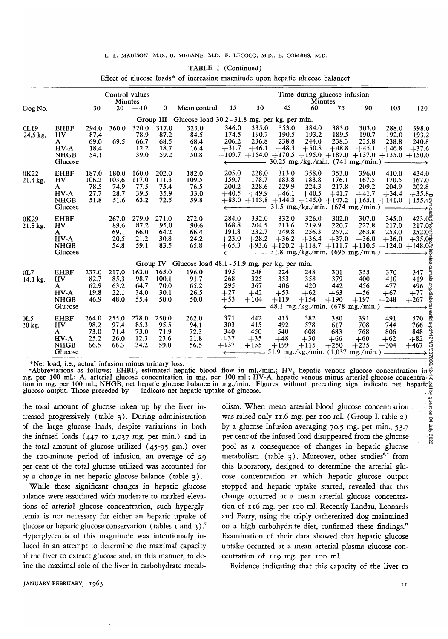|  |  | TABLE 1 (Continued) |
|--|--|---------------------|
|--|--|---------------------|

Effect of glucose loads\* of increasing magnitude upon hepatic glucose balance†

| Minutes<br>Minutes<br>30<br>15<br>45<br>75<br>90<br>$\bf{0}$<br>Mean control<br>60<br>105<br>Dog No.<br>$-30$<br>$-20$<br>$-10$<br>Group III Glucose load 30.2 - 31.8 mg. per kg. per min.<br><b>EHBF</b><br>320.0<br>317.0<br>323.0<br>346.0<br>335.0<br>353.0<br>384.0<br>383.0<br>0L19<br>294.0<br>360.0<br>303.0<br>288.0<br>174.5<br>78.9<br>87.2<br>84.5<br>190.7<br>190.5<br>193.2<br>189.5<br>192.0<br>HV<br>87.4<br>190.7<br>24.5 kg.<br>69.5<br>68.5<br>206.2<br>236.8<br>238.8<br>244.0<br>238.3<br>235.8<br>69.0<br>66.7<br>68.4<br>238.8<br>A<br>$HV-A$<br>18.4<br>12.2<br>18.7<br>$+31.7$<br>$+46.1$<br>$+48.3$<br>$+50.8$<br>$+48.8$<br>$+45.1$<br>16.4<br>$+46.8$<br>59.2<br><b>NHGB</b><br>54.1<br>39.0<br>50.8<br>$+109.7 +154.0 +170.5 +195.0 +187.0 +137.0 +135.0 +150.0$<br>$30.25$ mg./kg./min. $(741$ mg./min.)<br>Glucose<br>205.0<br>228.0<br>313.0<br><b>EHBF</b><br>187.0<br>182.0<br>358.0<br>353.0<br>396.0<br>180.0<br>160.0<br>202.0<br>410.0<br>159.7<br>178.7<br>183.8<br>HV<br>106.2<br>103.6<br>117.0<br>111.3<br>109.5<br>183.8<br>176.1<br>170.5<br>167.5<br>78.5<br>77.5<br>76.5<br>200.2<br>228.6<br>229.9<br>224.3<br>74.9<br>75.4<br>217.8<br>209.2<br>204.9<br>A<br>$+40.5$<br>HV-A<br>27.7<br>28.7<br>39.5<br>35.9<br>33.0<br>$+49.9$<br>$+46.1$<br>$+40.5$<br>$+41.7$<br>$+41.7$<br>$+34.4$<br><b>NHGB</b><br>51.8<br>51.6<br>63.2<br>72.5<br>59.8<br>$+83.0 +113.8 +144.3 +145.0 +147.2 +165.1 +141.0 +155.49$<br>Glucose<br>31.5 mg./kg./min. $(674 \text{ mg./min.})$<br><b>EHBF</b><br>267.0<br>279.0<br>271.0<br>272.0<br>284.0<br>332.0<br>332.0<br>326.0<br>302.0<br>307.0<br>345.0<br>213.6<br>89.6<br>87.2<br>95.0<br>90.6<br>168.8<br>204.5<br>219.9<br>220.7<br>227.8<br>HV<br>217.0<br>64.2<br>191.8<br>232.7<br>249.8<br>256.3<br>257.2<br>69.1<br>66.0<br>66.4<br>263.8<br>253.0<br>A<br>20.5<br>21.2<br>$+36.4$<br>$+37.0$<br>30.8<br>24.2<br>$+23.0$<br>$+28.2$<br>$+36.2$<br>$+36.0$<br>HV-A<br>$+36.0$<br><b>NHGB</b><br>54.8<br>59.1<br>83.5<br>65.8<br>$+93.6 +120.2 +118.7 +111.7 +110.5 +124.0 +148.0\text{m}$<br>$+65.3$<br>Glucose<br>31.8 mg./kg./min. $(695 \text{ mg./min.})$<br>Group IV Glucose load 48.1 - 51.9 mg. per kg. per min.<br><b>EHBF</b><br>237.0<br>217.0<br>163.0<br>165.0<br>196.0<br>195<br>248<br>224<br>248<br>301<br>355<br>370<br>98.7<br>91.7<br>268<br>325<br>353<br>358<br>379<br>400<br>410<br>HV<br>82.7<br>85.3<br>100.1<br>62.9<br>65.2<br>295<br>367<br>420<br>442<br>477<br>63.2<br>64.7<br>70.0<br>406<br>456<br>A<br>34.0<br>26.5<br>$+27$<br>$HV-A$<br>19.8<br>22.1<br>30.1<br>$+42$<br>$+53$<br>$+62$<br>$+63$<br>$+56$<br>$+67$<br>46.9<br><b>NHGB</b><br>48.0<br>55.4<br>50.0<br>50.0<br>$+53$<br>$+154$<br>$+190$<br>$+104$<br>+119<br>$+197$<br>$+248$<br>48.1 mg./kg./min. (678 mg./min.)<br>Glucose<br>$\overline{\phantom{0}}$ | 120<br>398.0<br>193.2<br>240.8<br>$+37.6$<br>434.0<br>167.0<br>202.8<br>$+35.8$<br>423.08<br>$217.0\overline{5}$ |  |  |  |  |  |  |  |  |
|-------------------------------------------------------------------------------------------------------------------------------------------------------------------------------------------------------------------------------------------------------------------------------------------------------------------------------------------------------------------------------------------------------------------------------------------------------------------------------------------------------------------------------------------------------------------------------------------------------------------------------------------------------------------------------------------------------------------------------------------------------------------------------------------------------------------------------------------------------------------------------------------------------------------------------------------------------------------------------------------------------------------------------------------------------------------------------------------------------------------------------------------------------------------------------------------------------------------------------------------------------------------------------------------------------------------------------------------------------------------------------------------------------------------------------------------------------------------------------------------------------------------------------------------------------------------------------------------------------------------------------------------------------------------------------------------------------------------------------------------------------------------------------------------------------------------------------------------------------------------------------------------------------------------------------------------------------------------------------------------------------------------------------------------------------------------------------------------------------------------------------------------------------------------------------------------------------------------------------------------------------------------------------------------------------------------------------------------------------------------------------------------------------------------------------------------------------------------------------------------------------------------------------------------------------------------------------------------------------------------------------------------------------------------------------------------------------------------------------------------------------------------------------------------------------------------------------------------------|------------------------------------------------------------------------------------------------------------------|--|--|--|--|--|--|--|--|
|                                                                                                                                                                                                                                                                                                                                                                                                                                                                                                                                                                                                                                                                                                                                                                                                                                                                                                                                                                                                                                                                                                                                                                                                                                                                                                                                                                                                                                                                                                                                                                                                                                                                                                                                                                                                                                                                                                                                                                                                                                                                                                                                                                                                                                                                                                                                                                                                                                                                                                                                                                                                                                                                                                                                                                                                                                                 |                                                                                                                  |  |  |  |  |  |  |  |  |
| 0K22<br>21.4 kg.<br>0K29<br>21.8 kg.<br>0L7<br>$14.1 \text{ kg}$ .                                                                                                                                                                                                                                                                                                                                                                                                                                                                                                                                                                                                                                                                                                                                                                                                                                                                                                                                                                                                                                                                                                                                                                                                                                                                                                                                                                                                                                                                                                                                                                                                                                                                                                                                                                                                                                                                                                                                                                                                                                                                                                                                                                                                                                                                                                                                                                                                                                                                                                                                                                                                                                                                                                                                                                              |                                                                                                                  |  |  |  |  |  |  |  |  |
|                                                                                                                                                                                                                                                                                                                                                                                                                                                                                                                                                                                                                                                                                                                                                                                                                                                                                                                                                                                                                                                                                                                                                                                                                                                                                                                                                                                                                                                                                                                                                                                                                                                                                                                                                                                                                                                                                                                                                                                                                                                                                                                                                                                                                                                                                                                                                                                                                                                                                                                                                                                                                                                                                                                                                                                                                                                 |                                                                                                                  |  |  |  |  |  |  |  |  |
|                                                                                                                                                                                                                                                                                                                                                                                                                                                                                                                                                                                                                                                                                                                                                                                                                                                                                                                                                                                                                                                                                                                                                                                                                                                                                                                                                                                                                                                                                                                                                                                                                                                                                                                                                                                                                                                                                                                                                                                                                                                                                                                                                                                                                                                                                                                                                                                                                                                                                                                                                                                                                                                                                                                                                                                                                                                 | 252.0<br>$+35.05$                                                                                                |  |  |  |  |  |  |  |  |
|                                                                                                                                                                                                                                                                                                                                                                                                                                                                                                                                                                                                                                                                                                                                                                                                                                                                                                                                                                                                                                                                                                                                                                                                                                                                                                                                                                                                                                                                                                                                                                                                                                                                                                                                                                                                                                                                                                                                                                                                                                                                                                                                                                                                                                                                                                                                                                                                                                                                                                                                                                                                                                                                                                                                                                                                                                                 |                                                                                                                  |  |  |  |  |  |  |  |  |
|                                                                                                                                                                                                                                                                                                                                                                                                                                                                                                                                                                                                                                                                                                                                                                                                                                                                                                                                                                                                                                                                                                                                                                                                                                                                                                                                                                                                                                                                                                                                                                                                                                                                                                                                                                                                                                                                                                                                                                                                                                                                                                                                                                                                                                                                                                                                                                                                                                                                                                                                                                                                                                                                                                                                                                                                                                                 | 347<br>419<br>496<br>$+77$<br>$+267$                                                                             |  |  |  |  |  |  |  |  |
| 371<br>442<br>415<br>382<br>0 <sub>L5</sub><br><b>EHBF</b><br>264.0<br>255.0<br>278.0<br>250.0<br>262.0<br>380<br>391<br>491<br>98.2<br>85.3<br>95.5<br>94.1<br>303<br>415<br>492<br>578<br>708<br>744<br>20 kg.<br>HV<br>97.4<br>617<br>73.0<br>71.4<br>73.0<br>71.9<br>72.3<br>340<br>450<br>540<br>608<br>683<br>806<br>A<br>768<br>23.6<br>$+37$<br>HV-A<br>25.2<br>12.3<br>21.8<br>$+35$<br>$+48$<br>$+30$<br>$+66$<br>$+60$<br>26.0<br>$+62$<br><b>NHGB</b><br>66.5<br>59.0<br>66.3<br>34.2<br>56.5<br>$+137$<br>$+199$<br>$+250$<br>$+304$<br>$+155$<br>$+115$<br>$+235$<br>Glucose<br>51.9 mg./kg./min. $(1,037 \text{ mg./min.})$                                                                                                                                                                                                                                                                                                                                                                                                                                                                                                                                                                                                                                                                                                                                                                                                                                                                                                                                                                                                                                                                                                                                                                                                                                                                                                                                                                                                                                                                                                                                                                                                                                                                                                                                                                                                                                                                                                                                                                                                                                                                                                                                                                                                      | 570<br>766<br>848<br>$\overline{2}$<br>$+82$<br>$+467$                                                           |  |  |  |  |  |  |  |  |
| *Net load, <i>i.e.</i> , actual infusion minus urinary loss.<br>†Abbreviations as follows: EHBF, estimated hepatic blood flow in ml./min.; HV, hepatic venous glucose concentration in<br>mg. per 100 ml.; A, arterial glucose concentration in mg. per 100 ml.; HV-A, hepatic venous minus arterial glucose concentra- $\frac{1}{6}$<br>tion in mg. per 100 ml.; NHGB, net hepatic glucose balance in mg./min. Figures without preceding sign indicate net hepatic<br>glucose output. Those preceded by $+$ indicate net hepatic uptake of glucose.                                                                                                                                                                                                                                                                                                                                                                                                                                                                                                                                                                                                                                                                                                                                                                                                                                                                                                                                                                                                                                                                                                                                                                                                                                                                                                                                                                                                                                                                                                                                                                                                                                                                                                                                                                                                                                                                                                                                                                                                                                                                                                                                                                                                                                                                                            |                                                                                                                  |  |  |  |  |  |  |  |  |
| the total amount of glucose taken up by the liver in-<br>olism. When mean arterial blood glucose concentration                                                                                                                                                                                                                                                                                                                                                                                                                                                                                                                                                                                                                                                                                                                                                                                                                                                                                                                                                                                                                                                                                                                                                                                                                                                                                                                                                                                                                                                                                                                                                                                                                                                                                                                                                                                                                                                                                                                                                                                                                                                                                                                                                                                                                                                                                                                                                                                                                                                                                                                                                                                                                                                                                                                                  |                                                                                                                  |  |  |  |  |  |  |  |  |
| creased progressively (table 3). During administration<br>was raised only 11.6 mg. per 100 ml. (Group I, table 2)                                                                                                                                                                                                                                                                                                                                                                                                                                                                                                                                                                                                                                                                                                                                                                                                                                                                                                                                                                                                                                                                                                                                                                                                                                                                                                                                                                                                                                                                                                                                                                                                                                                                                                                                                                                                                                                                                                                                                                                                                                                                                                                                                                                                                                                                                                                                                                                                                                                                                                                                                                                                                                                                                                                               |                                                                                                                  |  |  |  |  |  |  |  |  |
| of the large glucose loads, despite variations in both<br>by a glucose infusion averaging 70.5 mg. per min., 53.7                                                                                                                                                                                                                                                                                                                                                                                                                                                                                                                                                                                                                                                                                                                                                                                                                                                                                                                                                                                                                                                                                                                                                                                                                                                                                                                                                                                                                                                                                                                                                                                                                                                                                                                                                                                                                                                                                                                                                                                                                                                                                                                                                                                                                                                                                                                                                                                                                                                                                                                                                                                                                                                                                                                               |                                                                                                                  |  |  |  |  |  |  |  |  |
| the infused loads (447 to 1,037 mg. per min.) and in<br>per cent of the infused load disappeared from the glucose<br>.                                                                                                                                                                                                                                                                                                                                                                                                                                                                                                                                                                                                                                                                                                                                                                                                                                                                                                                                                                                                                                                                                                                                                                                                                                                                                                                                                                                                                                                                                                                                                                                                                                                                                                                                                                                                                                                                                                                                                                                                                                                                                                                                                                                                                                                                                                                                                                                                                                                                                                                                                                                                                                                                                                                          |                                                                                                                  |  |  |  |  |  |  |  |  |

the total amount of glucose taken up by the liver increased progressively (table 3). During administration of the large glucose loads, despite variations in both the infused loads  $(447 \text{ to } 1,037 \text{ mg.} \text{ per min.})$  and in the total amount of glucose utilized (45-95 gm.) over the total amount of glucose utilized (45-95 gm.) over<br>the 120-minute period of infusion, an average of 29 per cent of the total glucose utilized was accounted for by a change in net hepatic glucose balance (table 3).

While these significant changes in hepatic glucose balance were associated with moderate to marked elevations of arterial glucose concentration, such hyperglycemia is not necessary for either an hepatic uptake of glucose or hepatic glucose conservation (tables 1 and 3).<sup>7</sup> Hyperglycemia of this magnitude was intentionally induced in an attempt to determine the maximal capacity of the liver to extract glucose and, in this manner, to define the maximal role of the liver in carbohydrate metab-

olism. When mean arterial blood glucose concentration was raised only 11.6 mg. per 100 ml. (Group I, table 2) by a glucose infusion averaging 70.5 mg. per min., 53.7 per cent of the infused load disappeared from the glucose<br>pool as a consequence of changes in hepatic glucose<br>metabolism (table a). Moreover, other studies<sup>6,7</sup> from metabolism (table  $3$ ). Moreover, other studies<sup>6,7</sup> from this laboratory, designed to determine the arterial glucose concentration at which hepatic glucose output stopped and hepatic uptake started, revealed that this change occurred at a mean arterial glucose concentration of 116 mg. per 100 ml. Recently Landau, Leonards and Barry, using the triply catheterized dog maintained on a high carbohydrate diet, confirmed these findings.<sup>11</sup> Examination of their data showed that hepatic glucose uptake occurred at a mean arterial plasma glucose concentration of 119 mg. per 100 ml.

Evidence indicating that this capacity of the liver to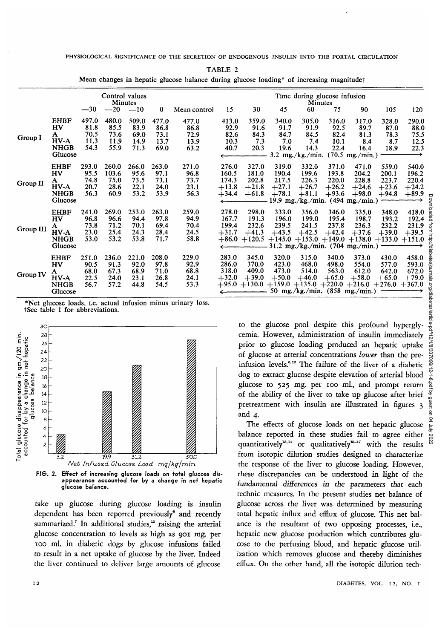|           |                                                            |                                       |                                        |                                       |                                       | mean enanges in hepatic glucose valance unting glucose loading. Of increasing magnitude |                                               |                                               |                                               |                                                          |                                               |                                                                                                                                                       |                                               |                                               |
|-----------|------------------------------------------------------------|---------------------------------------|----------------------------------------|---------------------------------------|---------------------------------------|-----------------------------------------------------------------------------------------|-----------------------------------------------|-----------------------------------------------|-----------------------------------------------|----------------------------------------------------------|-----------------------------------------------|-------------------------------------------------------------------------------------------------------------------------------------------------------|-----------------------------------------------|-----------------------------------------------|
|           |                                                            |                                       | Control values<br><b>Minutes</b>       |                                       |                                       |                                                                                         | Time during glucose infusion<br>Minutes       |                                               |                                               |                                                          |                                               |                                                                                                                                                       |                                               |                                               |
|           |                                                            | $-30$                                 | $-20$                                  | $-10$                                 | $\bf{0}$                              | Mean control                                                                            | 15                                            | 30                                            | 45                                            | 60                                                       | 75                                            | 90                                                                                                                                                    | 105                                           | 120                                           |
| Group I   | <b>EHBF</b><br>HV<br>A<br>$HV-A$<br><b>NHGB</b><br>Glucose | 497.0<br>81.8<br>70.5<br>11.3<br>54.3 | 480.0<br>85.5<br>73.6<br>11.9<br>55.9  | 509.0<br>83.9<br>69.0<br>14.9<br>71.3 | 477.0<br>86.8<br>73.1<br>13.7<br>69.0 | 477.0<br>86.8<br>72.9<br>13.9<br>63.2                                                   | 413.0<br>92.9<br>82.6<br>10.3<br>40.7         | 359.0<br>91.6<br>84.3<br>7.3<br>20.3          | 340.0<br>91.7<br>84.7<br>7.0<br>19.6          | 305.0<br>91.9<br>84.5<br>7.4<br>14.3<br>3.2 mg./kg./min. | 316.0<br>92.5<br>82.4<br>10.1<br>22.4         | 317.0<br>89.7<br>81.3<br>8.4<br>16.4<br>$(70.5 \, \text{mg.}/\text{min.})$                                                                            | 328.0<br>87.0<br>78.3<br>8.7<br>18.9          | 290.0<br>88.0<br>75.5<br>12.5<br>22.3         |
| Group II  | <b>EHBF</b><br>HV<br>A<br>$HV-A$<br><b>NHGB</b><br>Glucose | 293.0<br>95.5<br>74.8<br>20.7<br>56.3 | 260.0<br>103.6<br>75.0<br>28.6<br>60.9 | 266.0<br>95.6<br>73.5<br>22.1<br>53.2 | 263.0<br>97.1<br>73.1<br>24.0<br>53.9 | 271.0<br>96.8<br>73.7<br>23.1<br>56.3                                                   | 276.0<br>160.5<br>174.3<br>$+13.8$<br>$+34.4$ | 327.0<br>181.0<br>202.8<br>$+21.8$<br>$+61.8$ | 319.0<br>190.4<br>217.5<br>$+27.1$<br>$+78.1$ | 332.0<br>199.6<br>226.3<br>$+26.7$<br>$+81.1$            | 371.0<br>193.8<br>220.0<br>$+26.2$<br>$+93.6$ | 471.0<br>204.2<br>228.8<br>$+24.6$<br>$+98.0$<br>19.9 mg./kg./min. $(494 \text{ mg./min.})$                                                           | 559.0<br>200.1<br>223.7<br>$+23.6$<br>$+94.8$ | 540.0<br>196.2<br>220.4<br>$+24.2$<br>$+89.9$ |
| Group III | <b>EHBF</b><br>HV<br>A<br>$HV-A$<br><b>NHGB</b><br>Glucose | 241.0<br>96.8<br>73.8<br>23.0<br>53.0 | 269.0<br>96.6<br>71.2<br>25.4<br>53.2  | 253.0<br>94.4<br>70.1<br>24.3<br>53.8 | 263.0<br>97.8<br>69.4<br>28.4<br>71.7 | 259.0<br>94.9<br>70.4<br>24.5<br>58.8                                                   | 278.0<br>167.7<br>199.4<br>$+31.7$            | 298.0<br>191.3<br>232.6<br>$+41.3$            | 333.0<br>196.0<br>239.5<br>$+43.5$            | 356.0<br>199.0<br>241.5<br>$+42.5$                       | 346.0<br>195.4<br>237.8<br>$+42.4$            | 335.0<br>198.7<br>236.3<br>$+37.6$<br>$+86.0 +120.5 +145.0 +153.0 +149.0 +138.0 +133.0 +151.0$<br>31.2 mg./kg./min. $(704 \text{ mg.}/\text{min.})$ – | 348.0<br>193.2<br>232.2<br>$+39.0$            | 418.0<br>192.4<br>231.9<br>$+39.5$            |
| Group IV  | <b>EHBF</b><br>HV<br>A<br>$HV-A$<br><b>NHGB</b><br>Glucose | 251.0<br>90.5<br>68.0<br>22.5<br>56.7 | 236.0<br>91.3<br>67.3<br>24.0<br>57.2  | 221.0<br>92.0<br>68.9<br>23.1<br>44.8 | 208.0<br>97.8<br>71.0<br>26.8<br>54.5 | 229.0<br>92.9<br>68.8<br>24.1<br>53.3                                                   | 283.0<br>286.0<br>318.0<br>$+32.0$            | 345.0<br>370.0<br>409.0<br>$+39.0$            | 320.0<br>423.0<br>473.0<br>$+50.0$            | 315.0<br>468.0<br>514.0<br>$+46.0$                       | 340.0<br>498.0<br>563.0<br>$+65.0$            | 373.0<br>554.0<br>612.0<br>$+58.0$<br>$+95.0 +130.0 +159.0 +135.0 +220.0 +216.0 +276.0 +367.0$<br>50 mg./kg./min. $(858 \text{ mg.}/\text{min.})$     | 430.0<br>577.0<br>642.0<br>$+65.0$            | 458.0<br>593.0<br>672.0<br>$+79.0$            |

TARIE 2 Mean changes in hepatic glucose balance during glucose loading\* of increasing magnitudet

\*Net glucose loads, i.e. actual infusion minus urinary loss. tSee table 1 for abbreviations.



**appearance accounted for by a change in net hepatic glucose balance.**

take up glucose during glucose loading is insulin dependent has been reported previously<sup>®</sup> and recently summarized.<sup>7</sup> In additional studies,<sup>12</sup> raising the arterial glucose concentration to levels as high as 901 mg. per 100 ml. in diabetic dogs by glucose infusions failed to result in a net uptake of glucose by the liver. Indeed the liver continued to deliver large amounts of glucose

to the glucose pool despite this profound hyperglycemia. However, administration of insulin immediately prior to glucose loading produced an hepatic uptake of glucose at arterial concentrations *lower* than the preinfusion levels.<sup>6,12</sup> The failure of the liver of a diabetic dog to extract glucose despite elevation of arterial blood glucose to 525 mg. per 100 ml., and prompt return of the ability of the liver to take up glucose after brief pretreatment with insulin are illustrated in figures 3 and 4.

The effects of glucose loads on net hepatic glucose balance reported in these studies fail to agree either quantitatively<sup>18,14</sup> or qualitatively<sup>15-17</sup> with the results from isotopic dilution studies designed to characterize the response of the liver to glucose loading. However, these discrepancies can be understood in *light* of the *fundamental differences in the parameters that each* technic measures. In the present studies net balance of glucose across the liver was determined by measuring total hepatic influx and efflux of glucose. This net balance is the resultant of two opposing processes, i.e., hepatic new glucose pioduction which contributes glucose to the perfusing blood, and hepatic glucose utilization which removes glucose and thereby diminishes efflux. On the other hand, all the isotopic dilution tech-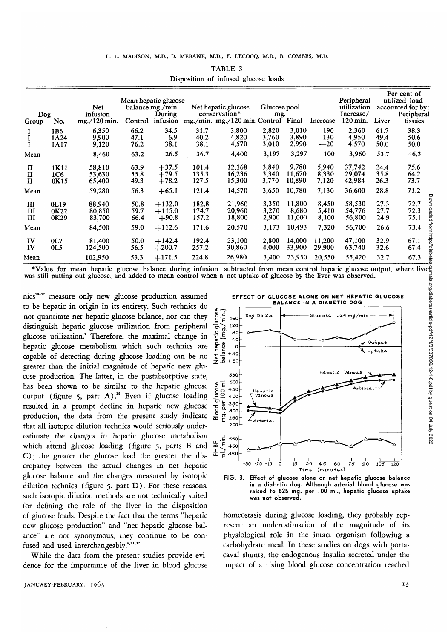| Dog<br>Group                      | No.                     | Net<br>infusion<br>$mg./120$ min. | Control              | Mean hepatic glucose<br>balance mg./min.<br>During<br>infusion |                         | Net hepatic glucose<br>conservation*<br>mg./min. mg./120 min. Control | Glucose pool<br>mg.     | Final                     | Increase                | Peripheral<br>utilization<br>Increase/<br>120 min. | Liver                | Per cent of<br>utilized load<br>accounted for by:<br>Peripheral<br>tissues |
|-----------------------------------|-------------------------|-----------------------------------|----------------------|----------------------------------------------------------------|-------------------------|-----------------------------------------------------------------------|-------------------------|---------------------------|-------------------------|----------------------------------------------------|----------------------|----------------------------------------------------------------------------|
| 1                                 | 1B6<br>1A24<br>1A17     | 6.350<br>9,900<br>9,120           | 66.2<br>47.1<br>76.2 | 34.5<br>6.9<br>38.1                                            | 31.7<br>40.2<br>38.1    | 3,800<br>4,820<br>4,570                                               | 2,820<br>3,760<br>3,010 | 3,010<br>3,890<br>2,990   | 190<br>130<br>$-20$     | 2,360<br>4,950<br>4,570                            | 61.7<br>49.4<br>50.0 | 38.3<br>50.6<br>50.0                                                       |
| Mean                              |                         | 8,460                             | 63.2                 | 26.5                                                           | 36.7                    | 4,400                                                                 | 3,197                   | 3,297                     | 100                     | 3,960                                              | 53.7                 | 46.3                                                                       |
| П<br>$\mathbf{I}$<br>$\mathbf{I}$ | 1K11<br>1C6<br>0K15     | 58,810<br>53.630<br>65,400        | 63.9<br>55.8<br>49.3 | $+37.5$<br>$+79.5$<br>$+78.2$                                  | 101.4<br>135.3<br>127.5 | 12,168<br>16,236<br>15,300                                            | 3,840<br>3,340<br>3,770 | 9,780<br>11,670<br>10,890 | 5,940<br>8,330<br>7,120 | 37,742<br>29,074<br>42,984                         | 24.4<br>35.8<br>26.3 | 75.6<br>64.2<br>73.7                                                       |
| Mean                              |                         | 59,280                            | 56.3                 | $+65.1$                                                        | 121.4                   | 14,570                                                                | 3,650                   | 10.780                    | 7,130                   | 36,600                                             | 28.8                 | 71.2                                                                       |
| Ш<br>Ш<br>Ш                       | 0L19<br>0K22<br>0K29    | 88,940<br>80,850<br>83,700        | 50.8<br>59.7<br>66.4 | $+132.0$<br>$+115.0$<br>$+90.8$                                | 182.8<br>174.7<br>157.2 | 21,960<br>20,960<br>18,800                                            | 3,350<br>3,270<br>2,900 | 11.800<br>8,680<br>11,000 | 8,450<br>5,410<br>8,100 | 58,530<br>54,776<br>56,800                         | 27.3<br>27.7<br>24.9 | 72.7<br>72.3<br>75.1                                                       |
| Mean                              |                         | 84,500                            | 59.0                 | $+112.6$                                                       | 171.6                   | 20,570                                                                | 3,173                   | 10,493                    | 7,320                   | 56,700                                             | 26.6                 | 73.4                                                                       |
| IV<br>IV                          | 0L7<br>0 <sub>L</sub> 5 | 81,400<br>124,500                 | 50.0<br>56.5         | $+142.4$<br>$+200.7$                                           | 192.4<br>257.2          | 23,100<br>30,860                                                      | 2,800<br>4,000          | 14,000<br>33,900          | 11.200<br>29,900        | 47,100<br>63,740                                   | 32.9<br>32.6         | 67.1<br>67.4                                                               |
| Mean                              |                         | 102.950                           | 53.3                 | $+171.5$                                                       | 224.8                   | 26,980                                                                | 3,400                   | 23,950                    | 20,550                  | 55,420                                             | 32.7                 | 67.3                                                                       |

| TABLE 3                              |  |  |  |  |  |  |  |  |  |
|--------------------------------------|--|--|--|--|--|--|--|--|--|
| Disposition of infused glucose loads |  |  |  |  |  |  |  |  |  |

\*Value for mean hepatic glucose balance during infusion subtracted from mean control hepatic glucose output, where liver<br>was still putting out glucose, and added to mean control when a net uptake of glucose by the liver wa

nics<sup>13-17</sup> measure only new glucose production assumed measure only new glucose production assumed to be hepatic in origin in its entirety. Such technics do not quantitate net hepatic glucose balance, nor can they distinguish hepatic glucose utilization from peripheral glucose utilization.<sup>1</sup> Therefore, the maximal change in hepatic glucose metabolism which such technics are capable of detecting during glucose loading can be no greater than the initial magnitude of hepatic new glucose production. The latter, in the postabsorptive state, has been shown to be similar to the hepatic glucose output (figure 5, part A).<sup>18</sup> Even if glucose loading resulted in a prompt decline in hepatic new glucose production, the data from the present study indicate that all isotopic dilution technics would seriously underestimate the changes in hepatic glucose metabolism which attend glucose loading (figure 5, parts B and C); the greater the glucose load the greater the discrepancy between the actual changes in net hepatic glucose balance and the changes measured by isotopic dilution technics (figure 5, part D). For these reasons, such isotopic dilution methods are not technically suited for defining the role of the liver in the disposition of glucose loads. Despite the fact that the terms "hepatic new glucose production" and "net hepatic glucose balance" are not synonymous, they continue to be confused and used interchangeably.<sup>4,11</sup>

While the data from the present studies provide evidence for the importance of the liver in blood glucose

**EFFECT OF GLUCOSE ALONE ON NET HEPATIC GLUCOSE BALANCE IN A DIABETIC DOG**



**FIG. 3. Effect of glucose alone on net hepatic glucose balance in a diabetic dog. Although arterial blood glucose was raised to 525 mg. per 100 ml., hepatic glucose uptake was not observed.**

homeostasis during glucose loading, they probably represent an underestimation of the magnitude of its physiological role in the intact organism following a carbohydrate meal. In these studies on dogs with portacaval shunts, the endogenous insulin secreted under the impact of a rising blood glucose concentration reached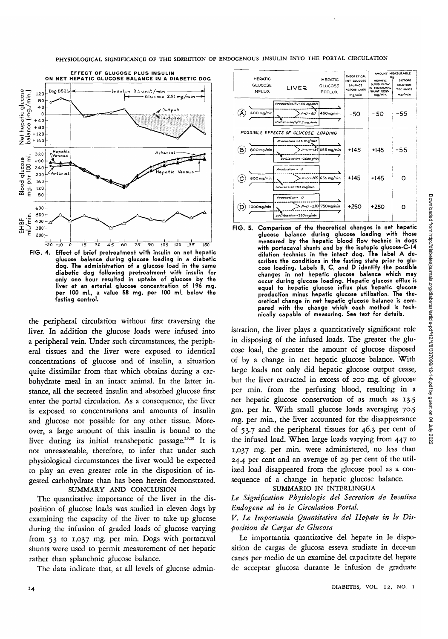

**FIG. 4. Effect of brief pretreatment with insulin on net hepatic glucose balance during glucose loading in a diabetic dog. The administration of a glucose load in the same diabetic dog following pretreatment with insulin for only one hour resulted in uptake of glucose by the liver at an arterial glucose concentration of 196 mg. per 100 ml., a value 58 mg. per 100 ml. below the fasting control.**

the peripheral circulation without first traversing the liver. In addition the glucose loads were infused into a peripheral vein. Under such circumstances, the peripheral tissues and the liver were exposed to identical concentrations of glucose and of insulin, a situation quite dissimilar from that which obtains during a carbohydrate meal in an intact animal. In the latter instance, all the secreted insulin and absorbed glucose first enter the portal circulation. As a consequence, the liver is exposed to concentrations and amounts of insulin and glucose not possible for any other tissue. Moreover, a large amount of this insulin is bound to the liver during its initial transhepatic passage.<sup>19,20</sup> It is not unreasonable, therefore, to infer that under such physiological circumstances the liver would be expected to play an even greater role in the disposition of ingested carbohydrate than has been herein demonstrated. SUMMARY AND CONCLUSION

The quantitative importance of the liver in the disposition of glucose loads was studied in eleven dogs by examining the capacity of the liver to take up glucose during the infusion of graded loads of glucose varying from 53 to 1,037 mg. per min. Dogs with portacaval shunts were used to permit measurement of net hepatic rather than splanchnic glucose balance.

The data indicate that, at all levels of glucose admin-

| <b>HEPATIC</b><br><b>GLUCOSE</b><br>INFLUX | LIVER                                                                                    | <b>HEPATIC</b><br><b>GLUCOSE</b><br>EFFLUX | THEORETICAL<br>NET GLUCOSE<br><b>BALANCE</b><br>ACROSS LIVER<br>mg/min | bu<br><b>HEPATIC</b><br><b>BLOOD FLOW</b><br>IN PORTACAVAL<br>SHUNT DOGS<br>mg/min | AMOUNT MEASURABLE<br><b>ISOTOPE</b><br>DILUTION<br><b>TECHNICS</b><br>mg/min |
|--------------------------------------------|------------------------------------------------------------------------------------------|--------------------------------------------|------------------------------------------------------------------------|------------------------------------------------------------------------------------|------------------------------------------------------------------------------|
| 400 mg/min                                 | Production (P) = 55 ma/min<br>$P-V = 50$<br>Utilization(U)=5 mg/min                      | 450mg/min                                  | -50                                                                    | -50                                                                                | $-55$                                                                        |
| B<br>800 mg/min                            | POSSIBLE EFFECTS OF GLUCOSE LOADING<br>Production =55 mg/min<br>Utilization = 200 mg/min | $P-V = 145655$ mg/min                      | $+145$                                                                 | +145                                                                               | -55                                                                          |
| 800 mg/min<br>C                            | $Production = 0$<br>Utilization =145 mg/min                                              | > P-U= 145 655 mg/min                      | $+145$                                                                 | +145                                                                               | Ω                                                                            |
| 1000mg/min<br>T.                           | Production = 0<br>Utilization = 250 mg/min                                               | > p-c/-250 750 mg/min                      | +250                                                                   | +250                                                                               | O                                                                            |

**FIG. 5. Comparison of the theoretical changes in net hepatic glucose balance during glucose loading with those measured by the hepatic blood flow technic in dogs with portacaval shunts and by the isotopic glucose-C-14 dilution technics in the intact dog. The label A describes the conditions in the fasting state prior to glucose loading. Labels B, C, and D identify the possible changes in net hepatic glucose balance which may occur during glucose loading. Hepatic glucose efflux is equal to hepatic glucose influx plus hepatic glucose production minus hepatic glucose utilization. The theoretical change in net hepatic glucose balance is compared with the change which each method is technically capable of measuring. See text for details.**

istration, the liver plays a quantitatively significant role in disposing of the infused loads. The greater the glucose load, the greater the amount of glucose disposed of by a change in net hepatic glucose balance. With large loads not only did hepatic glucose output cease, but the liver extracted in excess of 200 mg. of glucose per min. from the perfusing blood, resulting in a net hepatic glucose conservation of as much as 13.5 gm. per hr. With small glucose loads averaging 70.5 mg. per min., the liver accounted for the disappearance of 53.7 and the peripheral tissues for 46.3 per cent of the infused load. When large loads varying from 447 to 1,037 mg. per min. were administered, no less than 24.4 per cent and an average of 29 per cent of the utilized load disappeared from the glucose pool as a consequence of a change in hepatic glucose balance.

SUMMARIO IN INTERLINGUA

*Le Signification Physiologic del Secretion de Insulina Endogene ad in le Circulation Portal.*

*V. Le Importantia Quantitative del Hepate in le Disposition de Cargas de Glucosa*

Le importantia quantitative del hepate in le disposition de cargas de glucosa esseva studiate in dece-un canes per medio de un examine del capacitate del hepate de acceptar glucosa durante le infusion de graduate